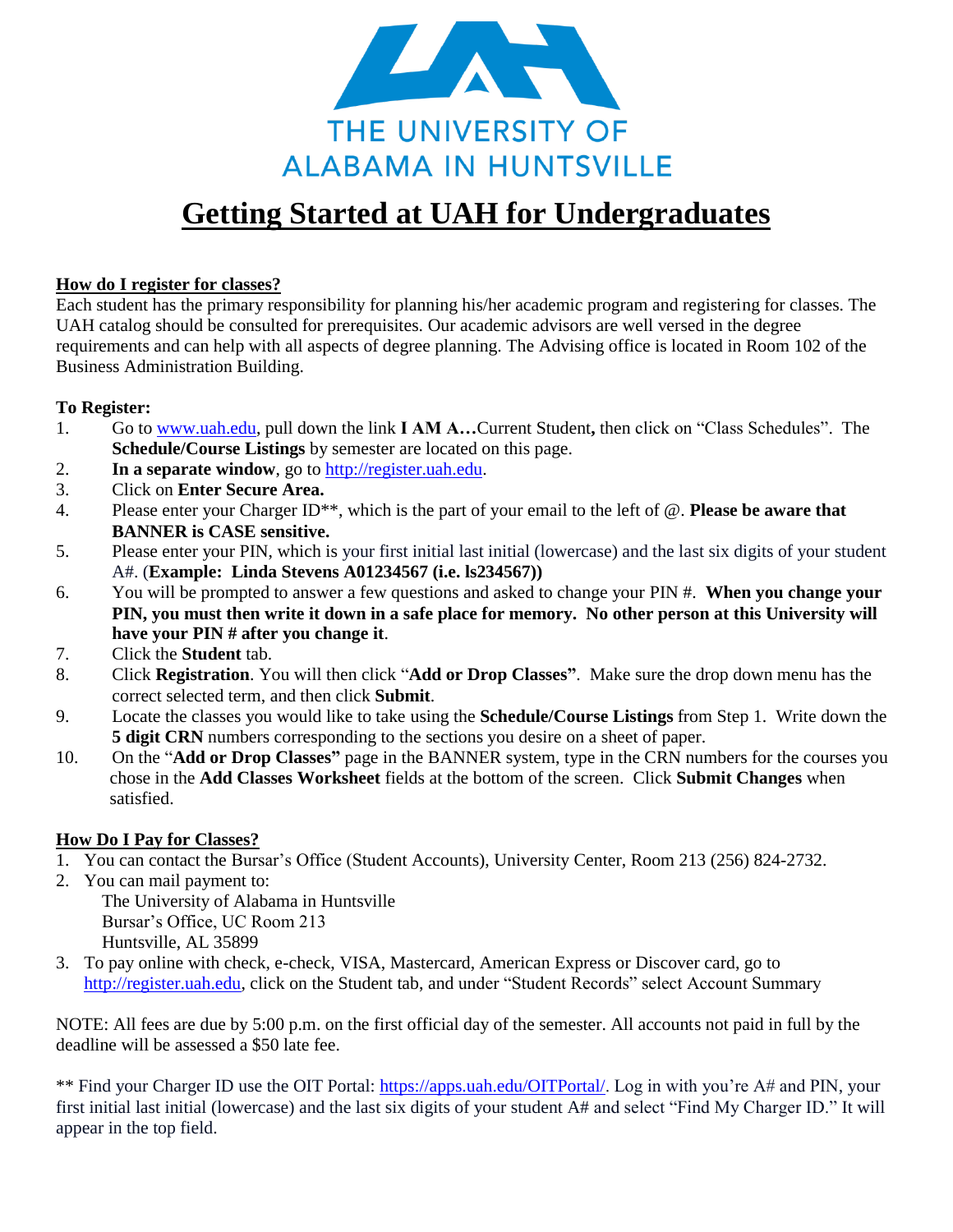

# **Getting Started at UAH for Undergraduates**

#### **How do I register for classes?**

Each student has the primary responsibility for planning his/her academic program and registering for classes. The UAH catalog should be consulted for prerequisites. Our academic advisors are well versed in the degree requirements and can help with all aspects of degree planning. The Advising office is located in Room 102 of the Business Administration Building.

#### **To Register:**

- 1. Go to [www.uah.edu,](http://www.uah.edu/) pull down the link **I AM A…**Current Student**,** then click on "Class Schedules". The **Schedule/Course Listings** by semester are located on this page.
- 2. **In a separate window**, go to [http://register.uah.edu.](http://register.uah.edu/)
- 3. Click on **Enter Secure Area.**
- 4. Please enter your Charger ID\*\*, which is the part of your email to the left of @. **Please be aware that BANNER is CASE sensitive.**
- 5. Please enter your PIN, which is your first initial last initial (lowercase) and the last six digits of your student A#. (**Example: Linda Stevens A01234567 (i.e. ls234567))**
- 6. You will be prompted to answer a few questions and asked to change your PIN #. **When you change your PIN, you must then write it down in a safe place for memory. No other person at this University will have your PIN # after you change it**.
- 7. Click the **Student** tab.
- 8. Click **Registration**. You will then click "**Add or Drop Classes"**. Make sure the drop down menu has the correct selected term, and then click **Submit**.
- 9. Locate the classes you would like to take using the **Schedule/Course Listings** from Step 1. Write down the **5 digit CRN** numbers corresponding to the sections you desire on a sheet of paper.
- 10. On the "**Add or Drop Classes"** page in the BANNER system, type in the CRN numbers for the courses you chose in the **Add Classes Worksheet** fields at the bottom of the screen. Click **Submit Changes** when satisfied.

#### **How Do I Pay for Classes?**

- 1. You can contact the Bursar's Office (Student Accounts), University Center, Room 213 (256) 824-2732.
- 2. You can mail payment to: The University of Alabama in Huntsville Bursar's Office, UC Room 213
	- Huntsville, AL 35899
- 3. To pay online with check, e-check, VISA, Mastercard, American Express or Discover card, go to [http://register.uah.edu,](http://register.uah.edu/) click on the Student tab, and under "Student Records" select Account Summary

NOTE: All fees are due by 5:00 p.m. on the first official day of the semester. All accounts not paid in full by the deadline will be assessed a \$50 late fee.

\*\* Find your Charger ID use the OIT Portal: [https://apps.uah.edu/OITPortal/.](https://apps.uah.edu/OITPortal/) Log in with you're A# and PIN, your first initial last initial (lowercase) and the last six digits of your student A# and select "Find My Charger ID." It will appear in the top field.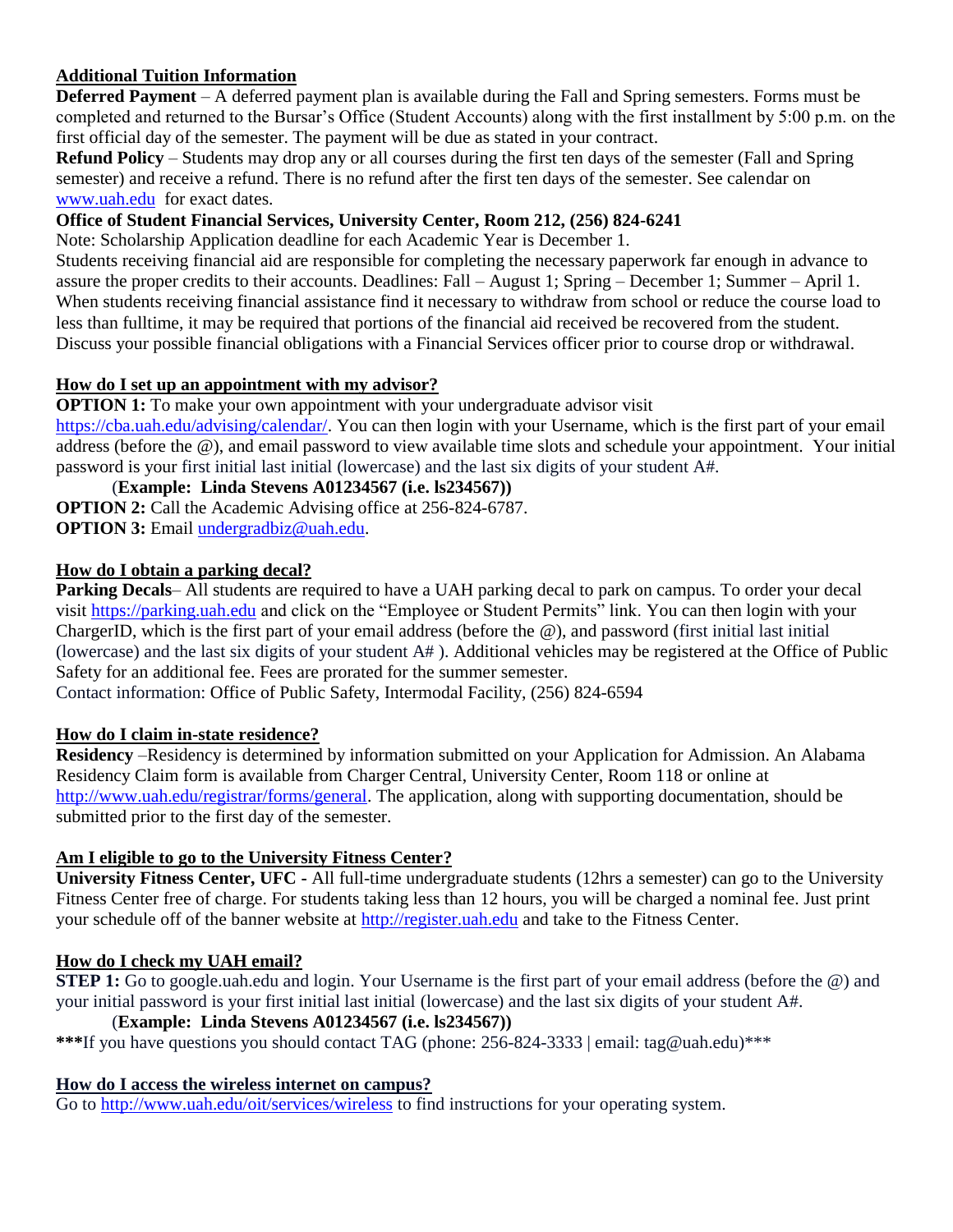## **Additional Tuition Information**

**Deferred Payment** – A deferred payment plan is available during the Fall and Spring semesters. Forms must be completed and returned to the Bursar's Office (Student Accounts) along with the first installment by 5:00 p.m. on the first official day of the semester. The payment will be due as stated in your contract.

**Refund Policy** – Students may drop any or all courses during the first ten days of the semester (Fall and Spring semester) and receive a refund. There is no refund after the first ten days of the semester. See calendar on [www.uah.edu](http://www.uah.edu/) for exact dates.

# **Office of Student Financial Services, University Center, Room 212, (256) 824-6241**

Note: Scholarship Application deadline for each Academic Year is December 1.

Students receiving financial aid are responsible for completing the necessary paperwork far enough in advance to assure the proper credits to their accounts. Deadlines: Fall – August 1; Spring – December 1; Summer – April 1. When students receiving financial assistance find it necessary to withdraw from school or reduce the course load to less than fulltime, it may be required that portions of the financial aid received be recovered from the student. Discuss your possible financial obligations with a Financial Services officer prior to course drop or withdrawal.

# **How do I set up an appointment with my advisor?**

**OPTION 1:** To make your own appointment with your undergraduate advisor visit

[https://cba.uah.edu/advising/calendar/.](https://cba.uah.edu/advising/calendar/) You can then login with your Username, which is the first part of your email address (before the @), and email password to view available time slots and schedule your appointment. Your initial password is your first initial last initial (lowercase) and the last six digits of your student A#.

(**Example: Linda Stevens A01234567 (i.e. ls234567)) OPTION 2:** Call the Academic Advising office at 256-824-6787. **OPTION 3:** Email [undergradbiz@uah.edu.](mailto:undergradbiz@uah.edu)

#### **How do I obtain a parking decal?**

**Parking Decals–** All students are required to have a UAH parking decal to park on campus. To order your decal visit [https://parking.uah.edu](https://parking.uah.edu/) and click on the "Employee or Student Permits" link. You can then login with your ChargerID, which is the first part of your email address (before the @), and password (first initial last initial (lowercase) and the last six digits of your student A# ). Additional vehicles may be registered at the Office of Public Safety for an additional fee. Fees are prorated for the summer semester.

Contact information: Office of Public Safety, Intermodal Facility, (256) 824-6594

#### **How do I claim in-state residence?**

**Residency** –Residency is determined by information submitted on your Application for Admission. An Alabama Residency Claim form is available from Charger Central, University Center, Room 118 or online at [http://www.uah.edu/registrar/forms/general.](http://www.uah.edu/registrar/forms/general) The application, along with supporting documentation, should be submitted prior to the first day of the semester.

#### **Am I eligible to go to the University Fitness Center?**

**University Fitness Center, UFC -** All full-time undergraduate students (12hrs a semester) can go to the University Fitness Center free of charge. For students taking less than 12 hours, you will be charged a nominal fee. Just print your schedule off of the banner website at [http://register.uah.edu](https://register.uah.edu/) and take to the Fitness Center.

#### **How do I check my UAH email?**

**STEP 1:** Go to google.uah.edu and login. Your Username is the first part of your email address (before the  $\omega$ ) and your initial password is your first initial last initial (lowercase) and the last six digits of your student A#.

#### (**Example: Linda Stevens A01234567 (i.e. ls234567))**

**\*\*\***If you have questions you should contact TAG (phone: 256-824-3333 | email: tag@uah.edu)\*\*\*

#### **How do I access the wireless internet on campus?**

Go to<http://www.uah.edu/oit/services/wireless> to find instructions for your operating system.